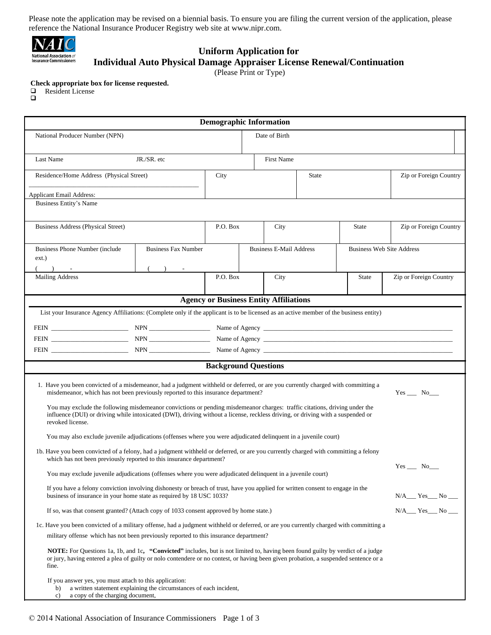Please note the application may be revised on a biennial basis. To ensure you are filing the current version of the application, please reference the National Insurance Producer Registry web site at www.nipr.com.



## **Uniform Application for**

# **Individual Auto Physical Damage Appraiser License Renewal/Continuation**

(Please Print or Type)

### **Check appropriate box for license requested.**

 Resident License  $\overline{\mathbf{u}}$ 

| <b>Demographic Information</b>                                                                                                                                                                                                                                                          |                            |                                |                                               |              |                                  |                         |  |  |
|-----------------------------------------------------------------------------------------------------------------------------------------------------------------------------------------------------------------------------------------------------------------------------------------|----------------------------|--------------------------------|-----------------------------------------------|--------------|----------------------------------|-------------------------|--|--|
| National Producer Number (NPN)                                                                                                                                                                                                                                                          |                            |                                | Date of Birth                                 |              |                                  |                         |  |  |
| Last Name                                                                                                                                                                                                                                                                               | JR./SR. etc                |                                | First Name                                    |              |                                  |                         |  |  |
| Residence/Home Address (Physical Street)                                                                                                                                                                                                                                                |                            | City                           |                                               | <b>State</b> |                                  | Zip or Foreign Country  |  |  |
| Applicant Email Address:                                                                                                                                                                                                                                                                |                            |                                |                                               |              |                                  |                         |  |  |
| <b>Business Entity's Name</b>                                                                                                                                                                                                                                                           |                            |                                |                                               |              |                                  |                         |  |  |
| Business Address (Physical Street)                                                                                                                                                                                                                                                      |                            | P.O. Box                       | City                                          |              |                                  | Zip or Foreign Country  |  |  |
| <b>Business Phone Number (include</b> )<br>ext.)                                                                                                                                                                                                                                        | <b>Business Fax Number</b> | <b>Business E-Mail Address</b> |                                               |              | <b>Business Web Site Address</b> |                         |  |  |
| $\sim$<br>$\rightarrow$<br><b>Mailing Address</b>                                                                                                                                                                                                                                       |                            | P.O. Box                       | City                                          |              | <b>State</b>                     | Zip or Foreign Country  |  |  |
|                                                                                                                                                                                                                                                                                         |                            |                                | <b>Agency or Business Entity Affiliations</b> |              |                                  |                         |  |  |
| List your Insurance Agency Affiliations: (Complete only if the applicant is to be licensed as an active member of the business entity)                                                                                                                                                  |                            |                                |                                               |              |                                  |                         |  |  |
|                                                                                                                                                                                                                                                                                         |                            |                                |                                               |              |                                  |                         |  |  |
|                                                                                                                                                                                                                                                                                         |                            |                                |                                               |              |                                  |                         |  |  |
| FEIN PRESS AND RESERVE AND RESERVE AND RESERVE AND RESERVE AND RESERVE AND RESERVE AND RESERVE AND RESERVE AND RESERVE AND RESERVE AND RESPONDING A REPORT OF A REPORT OF A REPORT OF A REPORT OF A REPORT OF A REPORT OF A RE                                                          |                            |                                |                                               |              |                                  |                         |  |  |
|                                                                                                                                                                                                                                                                                         |                            | <b>Background Questions</b>    |                                               |              |                                  |                         |  |  |
| 1. Have you been convicted of a misdemeanor, had a judgment withheld or deferred, or are you currently charged with committing a<br>misdemeanor, which has not been previously reported to this insurance department?<br>$Yes$ No $\_\_$                                                |                            |                                |                                               |              |                                  |                         |  |  |
| You may exclude the following misdemeanor convictions or pending misdemeanor charges: traffic citations, driving under the<br>influence (DUI) or driving while intoxicated (DWI), driving without a license, reckless driving, or driving with a suspended or<br>revoked license.       |                            |                                |                                               |              |                                  |                         |  |  |
| You may also exclude juvenile adjudications (offenses where you were adjudicated delinquent in a juvenile court)                                                                                                                                                                        |                            |                                |                                               |              |                                  |                         |  |  |
| 1b. Have you been convicted of a felony, had a judgment withheld or deferred, or are you currently charged with committing a felony<br>which has not been previously reported to this insurance department?                                                                             |                            |                                |                                               |              |                                  |                         |  |  |
| $Yes$ No $\_\_$<br>You may exclude juvenile adjudications (offenses where you were adjudicated delinquent in a juvenile court)                                                                                                                                                          |                            |                                |                                               |              |                                  |                         |  |  |
| If you have a felony conviction involving dishonesty or breach of trust, have you applied for written consent to engage in the<br>business of insurance in your home state as required by 18 USC 1033?                                                                                  |                            |                                |                                               |              |                                  | $N/A$ $Yes$ $No$ $\neg$ |  |  |
| If so, was that consent granted? (Attach copy of 1033 consent approved by home state.)                                                                                                                                                                                                  |                            |                                |                                               |              |                                  | $N/A$ $Yes$ $No$ $\_\_$ |  |  |
| 1c. Have you been convicted of a military offense, had a judgment withheld or deferred, or are you currently charged with committing a                                                                                                                                                  |                            |                                |                                               |              |                                  |                         |  |  |
| military offense which has not been previously reported to this insurance department?                                                                                                                                                                                                   |                            |                                |                                               |              |                                  |                         |  |  |
| <b>NOTE:</b> For Questions 1a, 1b, and 1c, "Convicted" includes, but is not limited to, having been found guilty by verdict of a judge<br>or jury, having entered a plea of guilty or nolo contendere or no contest, or having been given probation, a suspended sentence or a<br>fine. |                            |                                |                                               |              |                                  |                         |  |  |
| If you answer yes, you must attach to this application:<br>a written statement explaining the circumstances of each incident,<br>b)                                                                                                                                                     |                            |                                |                                               |              |                                  |                         |  |  |

c) a copy of the charging document,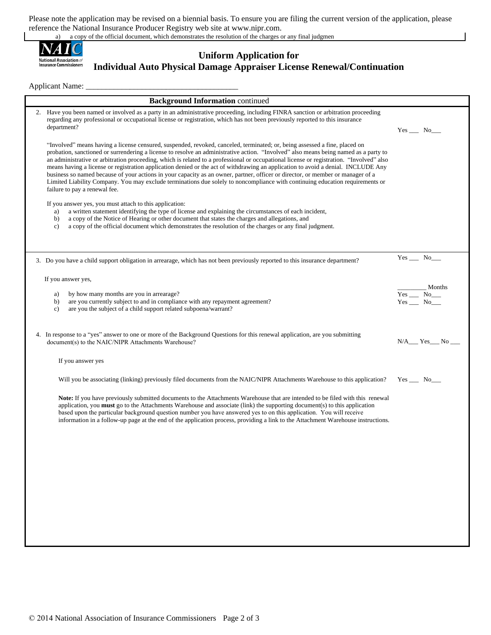Please note the application may be revised on a biennial basis. To ensure you are filing the current version of the application, please reference the National Insurance Producer Registry web site at www.nipr.com.

a) a copy of the official document, which demonstrates the resolution of the charges or any final judgmen



## **Uniform Application for Individual Auto Physical Damage Appraiser License Renewal/Continuation**

#### Applicant Name:

|  | <b>Background Information continued</b>                                                                                                                                                                                                                                                                                                                                                                                                                                                                                |                                          |
|--|------------------------------------------------------------------------------------------------------------------------------------------------------------------------------------------------------------------------------------------------------------------------------------------------------------------------------------------------------------------------------------------------------------------------------------------------------------------------------------------------------------------------|------------------------------------------|
|  | 2. Have you been named or involved as a party in an administrative proceeding, including FINRA sanction or arbitration proceeding<br>regarding any professional or occupational license or registration, which has not been previously reported to this insurance<br>department?                                                                                                                                                                                                                                       | $Yes$ No $\_\_$                          |
|  |                                                                                                                                                                                                                                                                                                                                                                                                                                                                                                                        |                                          |
|  | If you answer yes, you must attach to this application:<br>a written statement identifying the type of license and explaining the circumstances of each incident,<br>a)<br>a copy of the Notice of Hearing or other document that states the charges and allegations, and<br>b)<br>a copy of the official document which demonstrates the resolution of the charges or any final judgment.<br>c)                                                                                                                       |                                          |
|  | 3. Do you have a child support obligation in arrearage, which has not been previously reported to this insurance department?                                                                                                                                                                                                                                                                                                                                                                                           | $Yes$ No_____                            |
|  | If you answer yes,<br>by how many months are you in arrearage?<br>a)<br>are you currently subject to and in compliance with any repayment agreement?<br>b)<br>are you the subject of a child support related subpoena/warrant?<br>c)                                                                                                                                                                                                                                                                                   | __ Months<br>$Yes$ $No$<br>$Yes$ No_____ |
|  | 4. In response to a "yes" answer to one or more of the Background Questions for this renewal application, are you submitting<br>document(s) to the NAIC/NIPR Attachments Warehouse?                                                                                                                                                                                                                                                                                                                                    | $N/A$ $Yes$ $No$ $\_\_$                  |
|  | If you answer yes                                                                                                                                                                                                                                                                                                                                                                                                                                                                                                      |                                          |
|  | Will you be associating (linking) previously filed documents from the NAIC/NIPR Attachments Warehouse to this application?                                                                                                                                                                                                                                                                                                                                                                                             | $Yes$ No_____                            |
|  | Note: If you have previously submitted documents to the Attachments Warehouse that are intended to be filed with this renewal<br>application, you must go to the Attachments Warehouse and associate (link) the supporting document(s) to this application<br>based upon the particular background question number you have answered yes to on this application. You will receive<br>information in a follow-up page at the end of the application process, providing a link to the Attachment Warehouse instructions. |                                          |
|  |                                                                                                                                                                                                                                                                                                                                                                                                                                                                                                                        |                                          |
|  |                                                                                                                                                                                                                                                                                                                                                                                                                                                                                                                        |                                          |
|  |                                                                                                                                                                                                                                                                                                                                                                                                                                                                                                                        |                                          |
|  |                                                                                                                                                                                                                                                                                                                                                                                                                                                                                                                        |                                          |
|  |                                                                                                                                                                                                                                                                                                                                                                                                                                                                                                                        |                                          |
|  |                                                                                                                                                                                                                                                                                                                                                                                                                                                                                                                        |                                          |